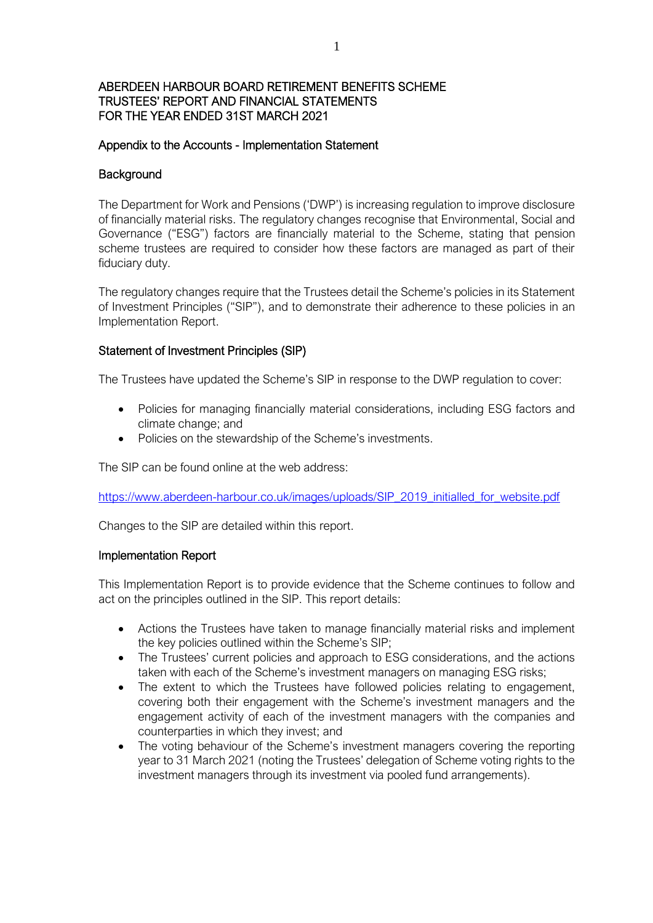### Appendix to the Accounts - Implementation Statement

#### **Background**

The Department for Work and Pensions ('DWP') is increasing regulation to improve disclosure of financially material risks. The regulatory changes recognise that Environmental, Social and Governance ("ESG") factors are financially material to the Scheme, stating that pension scheme trustees are required to consider how these factors are managed as part of their fiduciary duty.

The regulatory changes require that the Trustees detail the Scheme's policies in its Statement of Investment Principles ("SIP"), and to demonstrate their adherence to these policies in an Implementation Report.

#### Statement of Investment Principles (SIP)

The Trustees have updated the Scheme's SIP in response to the DWP regulation to cover:

- Policies for managing financially material considerations, including ESG factors and climate change; and
- Policies on the stewardship of the Scheme's investments.

The SIP can be found online at the web address:

[https://www.aberdeen-harbour.co.uk/images/uploads/SIP\\_2019\\_initialled\\_for\\_website.pdf](https://www.aberdeen-harbour.co.uk/images/uploads/SIP_2019_initialled_for_website.pdf) 

Changes to the SIP are detailed within this report.

### Implementation Report

This Implementation Report is to provide evidence that the Scheme continues to follow and act on the principles outlined in the SIP. This report details:

- Actions the Trustees have taken to manage financially material risks and implement the key policies outlined within the Scheme's SIP;
- The Trustees' current policies and approach to ESG considerations, and the actions taken with each of the Scheme's investment managers on managing ESG risks;
- The extent to which the Trustees have followed policies relating to engagement, covering both their engagement with the Scheme's investment managers and the engagement activity of each of the investment managers with the companies and counterparties in which they invest; and
- The voting behaviour of the Scheme's investment managers covering the reporting year to 31 March 2021 (noting the Trustees' delegation of Scheme voting rights to the investment managers through its investment via pooled fund arrangements).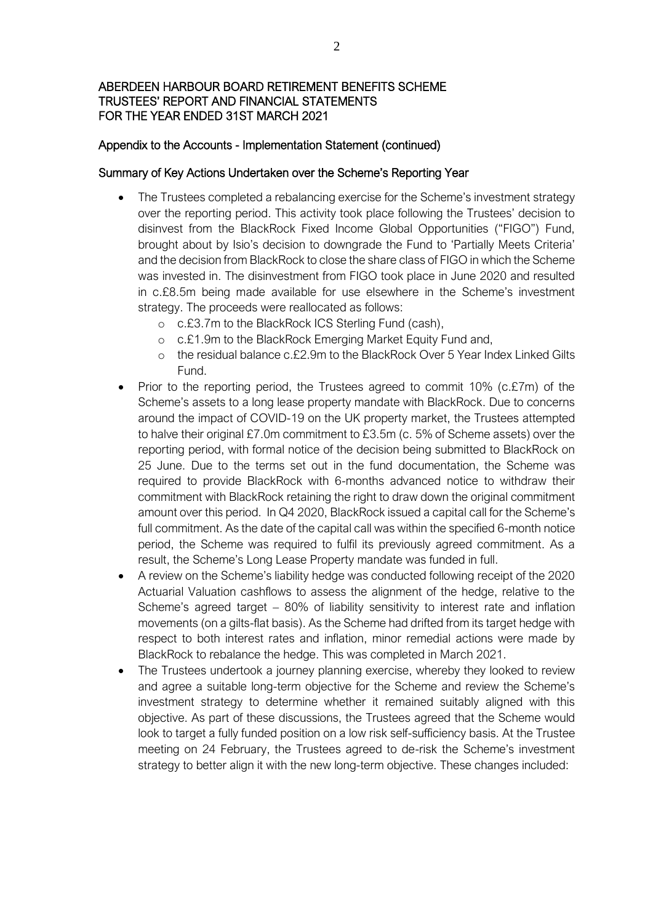#### Appendix to the Accounts - Implementation Statement (continued)

#### Summary of Key Actions Undertaken over the Scheme's Reporting Year

- The Trustees completed a rebalancing exercise for the Scheme's investment strategy over the reporting period. This activity took place following the Trustees' decision to disinvest from the BlackRock Fixed Income Global Opportunities ("FIGO") Fund, brought about by Isio's decision to downgrade the Fund to 'Partially Meets Criteria' and the decision from BlackRock to close the share class of FIGO in which the Scheme was invested in. The disinvestment from FIGO took place in June 2020 and resulted in c.£8.5m being made available for use elsewhere in the Scheme's investment strategy. The proceeds were reallocated as follows:
	- o c.£3.7m to the BlackRock ICS Sterling Fund (cash),
	- o c.£1.9m to the BlackRock Emerging Market Equity Fund and,
	- o the residual balance c.£2.9m to the BlackRock Over 5 Year Index Linked Gilts Fund.
- Prior to the reporting period, the Trustees agreed to commit 10% (c.£7m) of the Scheme's assets to a long lease property mandate with BlackRock. Due to concerns around the impact of COVID-19 on the UK property market, the Trustees attempted to halve their original £7.0m commitment to £3.5m (c. 5% of Scheme assets) over the reporting period, with formal notice of the decision being submitted to BlackRock on 25 June. Due to the terms set out in the fund documentation, the Scheme was required to provide BlackRock with 6-months advanced notice to withdraw their commitment with BlackRock retaining the right to draw down the original commitment amount over this period. In Q4 2020, BlackRock issued a capital call for the Scheme's full commitment. As the date of the capital call was within the specified 6-month notice period, the Scheme was required to fulfil its previously agreed commitment. As a result, the Scheme's Long Lease Property mandate was funded in full.
- A review on the Scheme's liability hedge was conducted following receipt of the 2020 Actuarial Valuation cashflows to assess the alignment of the hedge, relative to the Scheme's agreed target – 80% of liability sensitivity to interest rate and inflation movements (on a gilts-flat basis). As the Scheme had drifted from its target hedge with respect to both interest rates and inflation, minor remedial actions were made by BlackRock to rebalance the hedge. This was completed in March 2021.
- The Trustees undertook a journey planning exercise, whereby they looked to review and agree a suitable long-term objective for the Scheme and review the Scheme's investment strategy to determine whether it remained suitably aligned with this objective. As part of these discussions, the Trustees agreed that the Scheme would look to target a fully funded position on a low risk self-sufficiency basis. At the Trustee meeting on 24 February, the Trustees agreed to de-risk the Scheme's investment strategy to better align it with the new long-term objective. These changes included: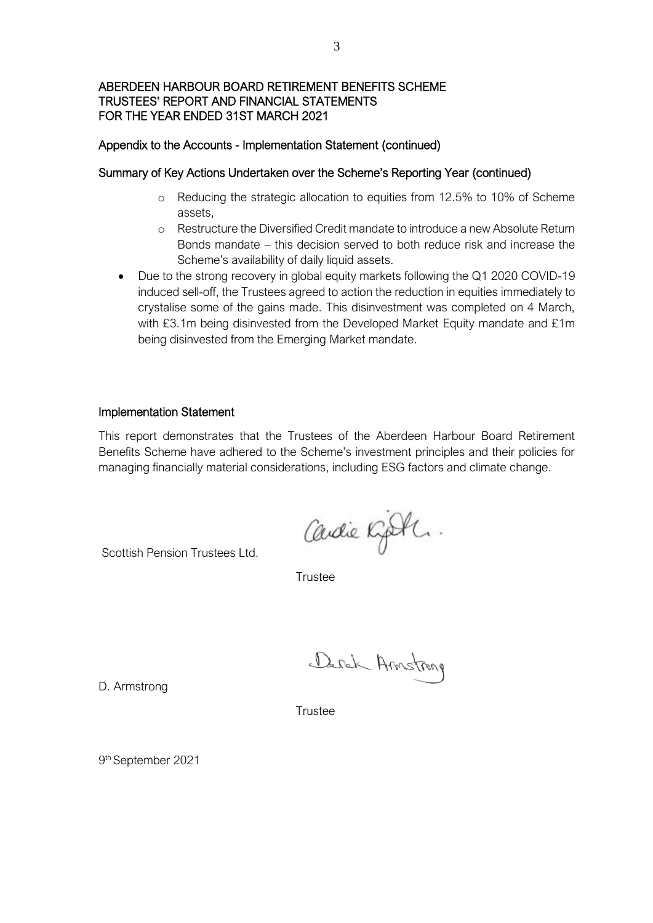#### Appendix to the Accounts - Implementation Statement (continued)

#### Summary of Key Actions Undertaken over the Scheme's Reporting Year (continued)

- o Reducing the strategic allocation to equities from 12.5% to 10% of Scheme assets,
- o Restructure the Diversified Credit mandate to introduce a new Absolute Return Bonds mandate – this decision served to both reduce risk and increase the Scheme's availability of daily liquid assets.
- Due to the strong recovery in global equity markets following the Q1 2020 COVID-19 induced sell-off, the Trustees agreed to action the reduction in equities immediately to crystalise some of the gains made. This disinvestment was completed on 4 March, with £3.1m being disinvested from the Developed Market Equity mandate and £1m being disinvested from the Emerging Market mandate.

#### Implementation Statement

This report demonstrates that the Trustees of the Aberdeen Harbour Board Retirement Benefits Scheme have adhered to the Scheme's investment principles and their policies for managing financially material considerations, including ESG factors and climate change.

Scottish Pension Trustees Ltd.

**Trustee** 

Deral Armstrong

Cardie Kjoth.

D. Armstrong

**Trustee** 

9 th September 2021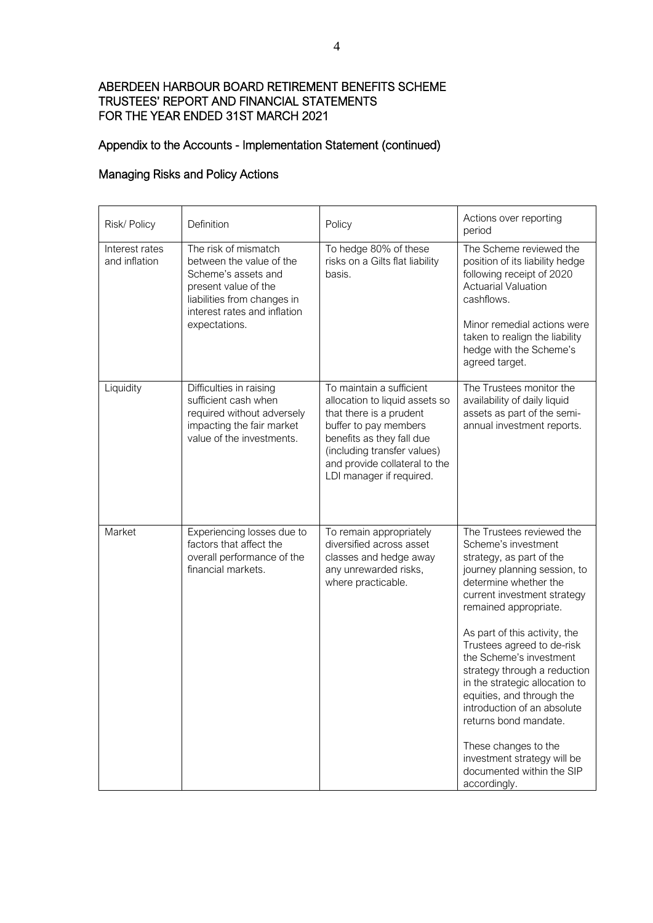# Appendix to the Accounts - Implementation Statement (continued)

## Managing Risks and Policy Actions

| Risk/ Policy                    | Definition                                                                                                                                                                      | Policy                                                                                                                                                                                                                                  | Actions over reporting<br>period                                                                                                                                                                                                                                                                                                                                                                                                                                                                                                                   |
|---------------------------------|---------------------------------------------------------------------------------------------------------------------------------------------------------------------------------|-----------------------------------------------------------------------------------------------------------------------------------------------------------------------------------------------------------------------------------------|----------------------------------------------------------------------------------------------------------------------------------------------------------------------------------------------------------------------------------------------------------------------------------------------------------------------------------------------------------------------------------------------------------------------------------------------------------------------------------------------------------------------------------------------------|
| Interest rates<br>and inflation | The risk of mismatch<br>between the value of the<br>Scheme's assets and<br>present value of the<br>liabilities from changes in<br>interest rates and inflation<br>expectations. | To hedge 80% of these<br>risks on a Gilts flat liability<br>basis.                                                                                                                                                                      | The Scheme reviewed the<br>position of its liability hedge<br>following receipt of 2020<br><b>Actuarial Valuation</b><br>cashflows.<br>Minor remedial actions were<br>taken to realign the liability<br>hedge with the Scheme's<br>agreed target.                                                                                                                                                                                                                                                                                                  |
| Liquidity                       | Difficulties in raising<br>sufficient cash when<br>required without adversely<br>impacting the fair market<br>value of the investments.                                         | To maintain a sufficient<br>allocation to liquid assets so<br>that there is a prudent<br>buffer to pay members<br>benefits as they fall due<br>(including transfer values)<br>and provide collateral to the<br>LDI manager if required. | The Trustees monitor the<br>availability of daily liquid<br>assets as part of the semi-<br>annual investment reports.                                                                                                                                                                                                                                                                                                                                                                                                                              |
| Market                          | Experiencing losses due to<br>factors that affect the<br>overall performance of the<br>financial markets.                                                                       | To remain appropriately<br>diversified across asset<br>classes and hedge away<br>any unrewarded risks,<br>where practicable.                                                                                                            | The Trustees reviewed the<br>Scheme's investment<br>strategy, as part of the<br>journey planning session, to<br>determine whether the<br>current investment strategy<br>remained appropriate.<br>As part of this activity, the<br>Trustees agreed to de-risk<br>the Scheme's investment<br>strategy through a reduction<br>in the strategic allocation to<br>equities, and through the<br>introduction of an absolute<br>returns bond mandate.<br>These changes to the<br>investment strategy will be<br>documented within the SIP<br>accordingly. |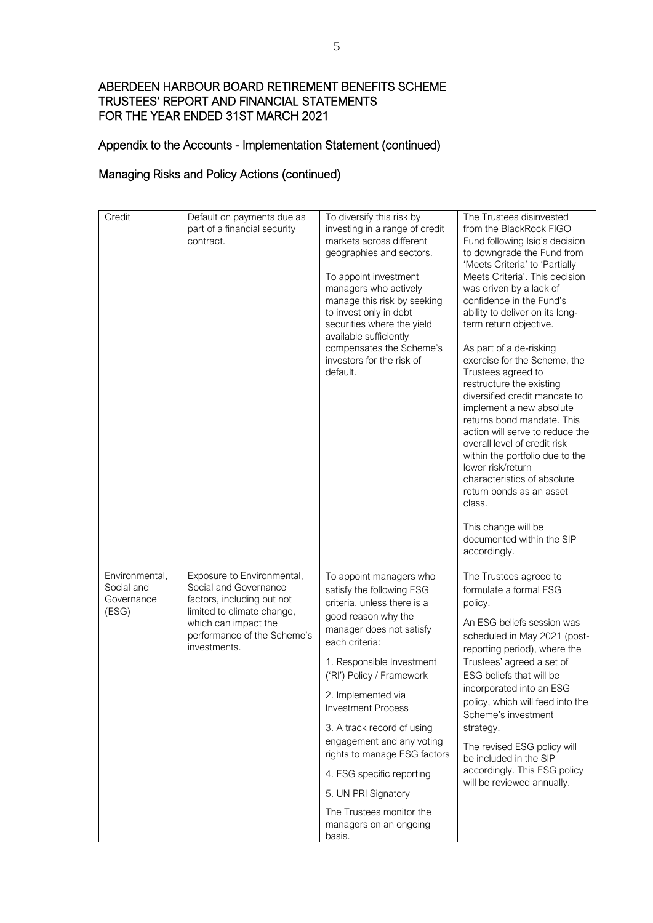# Appendix to the Accounts - Implementation Statement (continued)

#### Managing Risks and Policy Actions (continued)

| Credit                                              | Default on payments due as<br>part of a financial security<br>contract.                                                                                                                | To diversify this risk by<br>investing in a range of credit<br>markets across different<br>geographies and sectors.<br>To appoint investment<br>managers who actively<br>manage this risk by seeking<br>to invest only in debt<br>securities where the yield<br>available sufficiently<br>compensates the Scheme's<br>investors for the risk of<br>default.                                                                                                                          | The Trustees disinvested<br>from the BlackRock FIGO<br>Fund following Isio's decision<br>to downgrade the Fund from<br>'Meets Criteria' to 'Partially<br>Meets Criteria'. This decision<br>was driven by a lack of<br>confidence in the Fund's<br>ability to deliver on its long-<br>term return objective.<br>As part of a de-risking<br>exercise for the Scheme, the<br>Trustees agreed to<br>restructure the existing<br>diversified credit mandate to<br>implement a new absolute<br>returns bond mandate. This<br>action will serve to reduce the<br>overall level of credit risk<br>within the portfolio due to the<br>lower risk/return<br>characteristics of absolute<br>return bonds as an asset<br>class.<br>This change will be |
|-----------------------------------------------------|----------------------------------------------------------------------------------------------------------------------------------------------------------------------------------------|--------------------------------------------------------------------------------------------------------------------------------------------------------------------------------------------------------------------------------------------------------------------------------------------------------------------------------------------------------------------------------------------------------------------------------------------------------------------------------------|--------------------------------------------------------------------------------------------------------------------------------------------------------------------------------------------------------------------------------------------------------------------------------------------------------------------------------------------------------------------------------------------------------------------------------------------------------------------------------------------------------------------------------------------------------------------------------------------------------------------------------------------------------------------------------------------------------------------------------------------|
|                                                     |                                                                                                                                                                                        |                                                                                                                                                                                                                                                                                                                                                                                                                                                                                      | documented within the SIP<br>accordingly.                                                                                                                                                                                                                                                                                                                                                                                                                                                                                                                                                                                                                                                                                                  |
| Environmental,<br>Social and<br>Governance<br>(ESG) | Exposure to Environmental,<br>Social and Governance<br>factors, including but not<br>limited to climate change,<br>which can impact the<br>performance of the Scheme's<br>investments. | To appoint managers who<br>satisfy the following ESG<br>criteria, unless there is a<br>good reason why the<br>manager does not satisfy<br>each criteria:<br>1. Responsible Investment<br>('RI') Policy / Framework<br>2. Implemented via<br><b>Investment Process</b><br>3. A track record of using<br>engagement and any voting<br>rights to manage ESG factors<br>4. ESG specific reporting<br>5. UN PRI Signatory<br>The Trustees monitor the<br>managers on an ongoing<br>basis. | The Trustees agreed to<br>formulate a formal ESG<br>policy.<br>An ESG beliefs session was<br>scheduled in May 2021 (post-<br>reporting period), where the<br>Trustees' agreed a set of<br>ESG beliefs that will be<br>incorporated into an ESG<br>policy, which will feed into the<br>Scheme's investment<br>strategy.<br>The revised ESG policy will<br>be included in the SIP<br>accordingly. This ESG policy<br>will be reviewed annually.                                                                                                                                                                                                                                                                                              |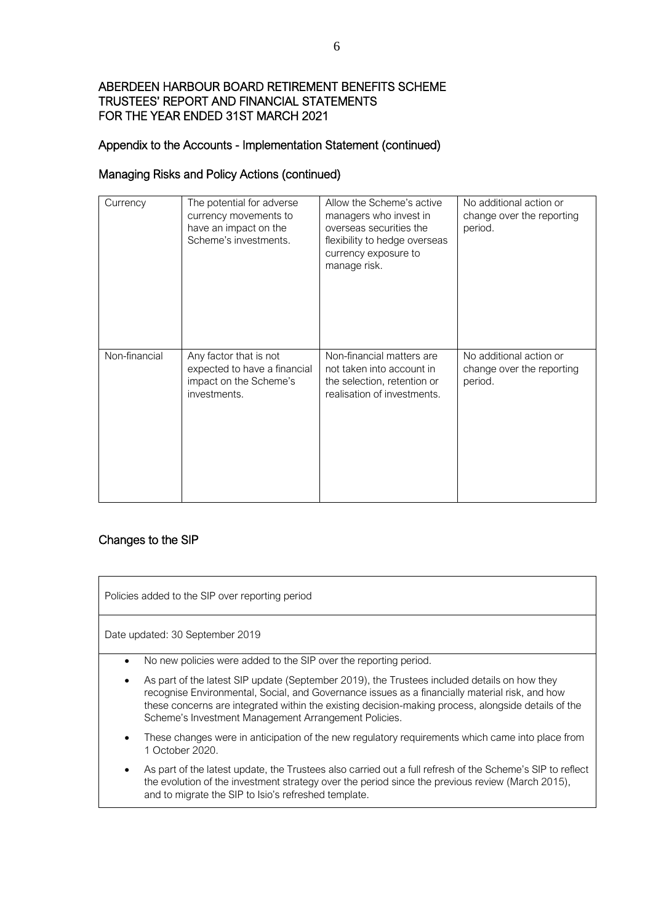# Appendix to the Accounts - Implementation Statement (continued)

## Managing Risks and Policy Actions (continued)

| Currency      | The potential for adverse<br>currency movements to<br>have an impact on the<br>Scheme's investments. | Allow the Scheme's active<br>managers who invest in<br>overseas securities the<br>flexibility to hedge overseas<br>currency exposure to<br>manage risk. | No additional action or<br>change over the reporting<br>period. |
|---------------|------------------------------------------------------------------------------------------------------|---------------------------------------------------------------------------------------------------------------------------------------------------------|-----------------------------------------------------------------|
| Non-financial | Any factor that is not<br>expected to have a financial<br>impact on the Scheme's<br>investments.     | Non-financial matters are<br>not taken into account in<br>the selection, retention or<br>realisation of investments.                                    | No additional action or<br>change over the reporting<br>period. |

### Changes to the SIP

| Policies added to the SIP over reporting period |                                                                                                                                                                                                                                                                                                                                                               |  |
|-------------------------------------------------|---------------------------------------------------------------------------------------------------------------------------------------------------------------------------------------------------------------------------------------------------------------------------------------------------------------------------------------------------------------|--|
| Date updated: 30 September 2019                 |                                                                                                                                                                                                                                                                                                                                                               |  |
|                                                 | No new policies were added to the SIP over the reporting period.                                                                                                                                                                                                                                                                                              |  |
| ٠                                               | As part of the latest SIP update (September 2019), the Trustees included details on how they<br>recognise Environmental, Social, and Governance issues as a financially material risk, and how<br>these concerns are integrated within the existing decision-making process, alongside details of the<br>Scheme's Investment Management Arrangement Policies. |  |
| ٠                                               | These changes were in anticipation of the new regulatory requirements which came into place from<br>1 October 2020.                                                                                                                                                                                                                                           |  |
| ٠                                               | As part of the latest update, the Trustees also carried out a full refresh of the Scheme's SIP to reflect<br>the evolution of the investment strategy over the period since the previous review (March 2015),<br>and to migrate the SIP to Isio's refreshed template.                                                                                         |  |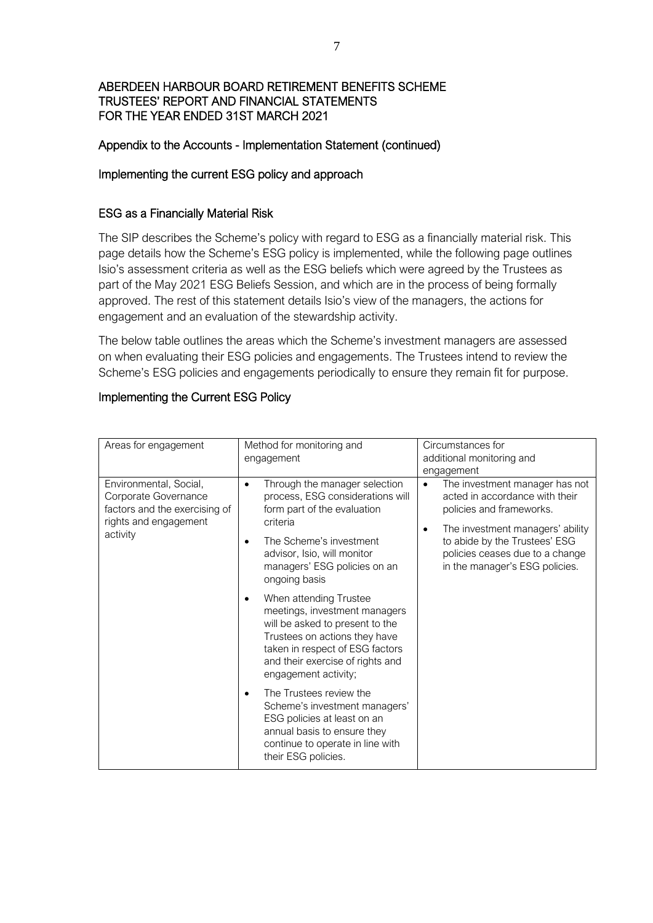### Appendix to the Accounts - Implementation Statement (continued)

### Implementing the current ESG policy and approach

### ESG as a Financially Material Risk

The SIP describes the Scheme's policy with regard to ESG as a financially material risk. This page details how the Scheme's ESG policy is implemented, while the following page outlines Isio's assessment criteria as well as the ESG beliefs which were agreed by the Trustees as part of the May 2021 ESG Beliefs Session, and which are in the process of being formally approved. The rest of this statement details Isio's view of the managers, the actions for engagement and an evaluation of the stewardship activity.

The below table outlines the areas which the Scheme's investment managers are assessed on when evaluating their ESG policies and engagements. The Trustees intend to review the Scheme's ESG policies and engagements periodically to ensure they remain fit for purpose.

# Implementing the Current ESG Policy

| Areas for engagement                                                                                                 | Method for monitoring and<br>engagement                                                                                                                                                                                                                                                                                                                                                                                                                                                                                                                                                                                                                      | Circumstances for<br>additional monitoring and<br>engagement                                                                                                                                                                                        |  |
|----------------------------------------------------------------------------------------------------------------------|--------------------------------------------------------------------------------------------------------------------------------------------------------------------------------------------------------------------------------------------------------------------------------------------------------------------------------------------------------------------------------------------------------------------------------------------------------------------------------------------------------------------------------------------------------------------------------------------------------------------------------------------------------------|-----------------------------------------------------------------------------------------------------------------------------------------------------------------------------------------------------------------------------------------------------|--|
| Environmental, Social,<br>Corporate Governance<br>factors and the exercising of<br>rights and engagement<br>activity | Through the manager selection<br>$\bullet$<br>process, ESG considerations will<br>form part of the evaluation<br>criteria<br>The Scheme's investment<br>advisor, Isio, will monitor<br>managers' ESG policies on an<br>ongoing basis<br>When attending Trustee<br>٠<br>meetings, investment managers<br>will be asked to present to the<br>Trustees on actions they have<br>taken in respect of ESG factors<br>and their exercise of rights and<br>engagement activity;<br>The Trustees review the<br>Scheme's investment managers'<br>ESG policies at least on an<br>annual basis to ensure they<br>continue to operate in line with<br>their ESG policies. | The investment manager has not<br>$\bullet$<br>acted in accordance with their<br>policies and frameworks.<br>The investment managers' ability<br>to abide by the Trustees' ESG<br>policies ceases due to a change<br>in the manager's ESG policies. |  |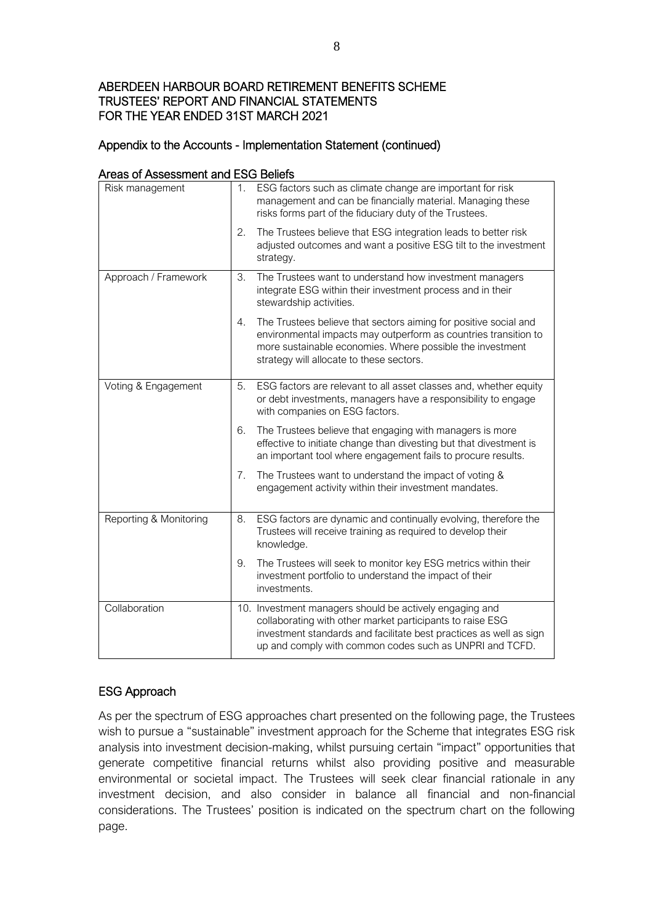## Appendix to the Accounts - Implementation Statement (continued)

| cas or Assessment and LOO Delicis<br>Risk management | 1. | ESG factors such as climate change are important for risk<br>management and can be financially material. Managing these<br>risks forms part of the fiduciary duty of the Trustees.                                                                    |
|------------------------------------------------------|----|-------------------------------------------------------------------------------------------------------------------------------------------------------------------------------------------------------------------------------------------------------|
|                                                      | 2. | The Trustees believe that ESG integration leads to better risk<br>adjusted outcomes and want a positive ESG tilt to the investment<br>strategy.                                                                                                       |
| Approach / Framework                                 | 3. | The Trustees want to understand how investment managers<br>integrate ESG within their investment process and in their<br>stewardship activities.                                                                                                      |
|                                                      | 4. | The Trustees believe that sectors aiming for positive social and<br>environmental impacts may outperform as countries transition to<br>more sustainable economies. Where possible the investment<br>strategy will allocate to these sectors.          |
| Voting & Engagement                                  | 5. | ESG factors are relevant to all asset classes and, whether equity<br>or debt investments, managers have a responsibility to engage<br>with companies on ESG factors.                                                                                  |
|                                                      | 6. | The Trustees believe that engaging with managers is more<br>effective to initiate change than divesting but that divestment is<br>an important tool where engagement fails to procure results.                                                        |
|                                                      | 7. | The Trustees want to understand the impact of voting &<br>engagement activity within their investment mandates.                                                                                                                                       |
| Reporting & Monitoring                               | 8. | ESG factors are dynamic and continually evolving, therefore the<br>Trustees will receive training as required to develop their<br>knowledge.                                                                                                          |
|                                                      | 9. | The Trustees will seek to monitor key ESG metrics within their<br>investment portfolio to understand the impact of their<br>investments.                                                                                                              |
| Collaboration                                        |    | 10. Investment managers should be actively engaging and<br>collaborating with other market participants to raise ESG<br>investment standards and facilitate best practices as well as sign<br>up and comply with common codes such as UNPRI and TCFD. |

## Areas of Assessment and ESG Beliefs

# ESG Approach

As per the spectrum of ESG approaches chart presented on the following page, the Trustees wish to pursue a "sustainable" investment approach for the Scheme that integrates ESG risk analysis into investment decision-making, whilst pursuing certain "impact" opportunities that generate competitive financial returns whilst also providing positive and measurable environmental or societal impact. The Trustees will seek clear financial rationale in any investment decision, and also consider in balance all financial and non-financial considerations. The Trustees' position is indicated on the spectrum chart on the following page.